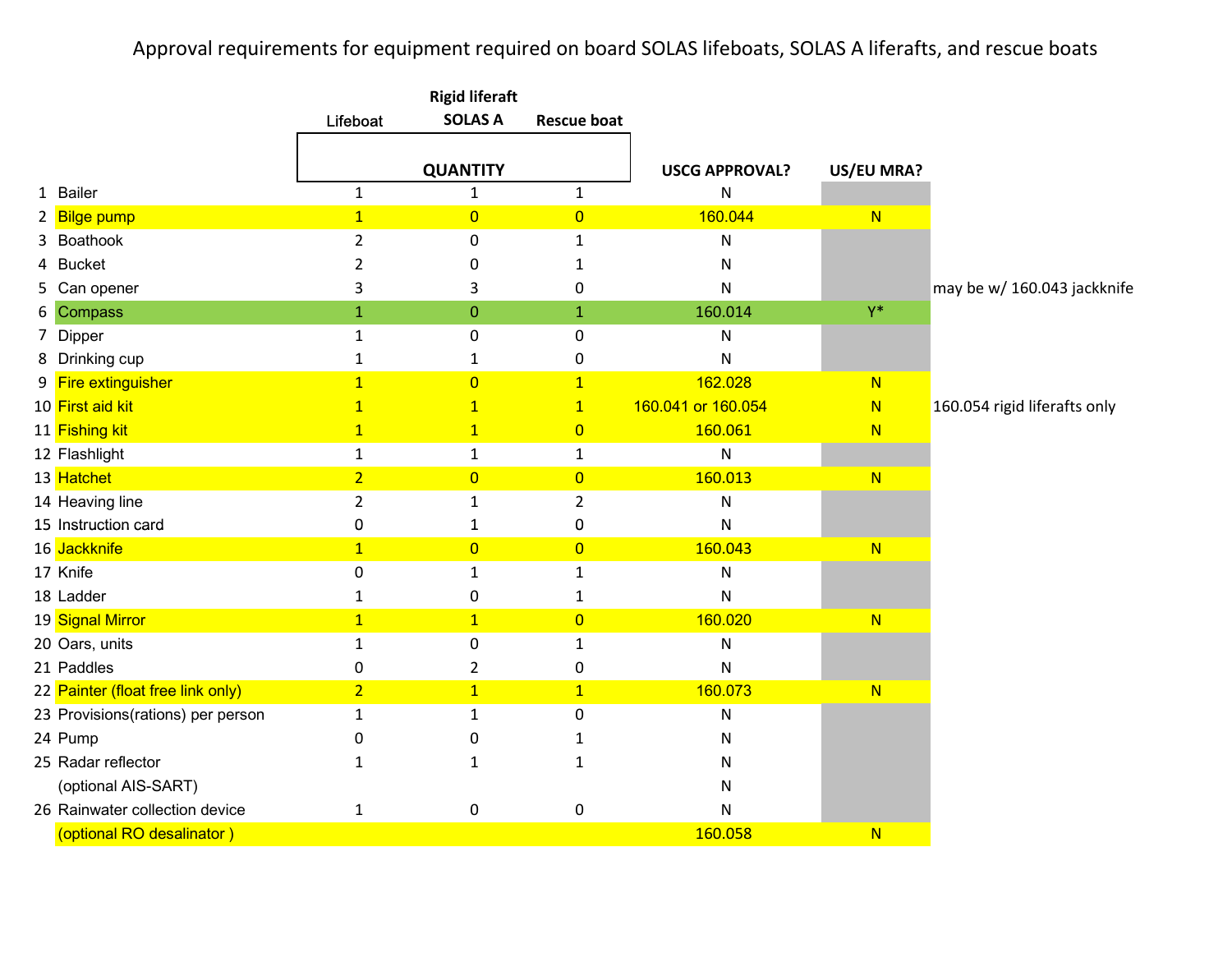## Approval requirements for equipment required on board SOLAS lifeboats, SOLAS A liferafts, and rescue boats

|                                   | <b>Rigid liferaft</b> |                  |                    |                       |            |                              |
|-----------------------------------|-----------------------|------------------|--------------------|-----------------------|------------|------------------------------|
|                                   | Lifeboat              | <b>SOLAS A</b>   | <b>Rescue boat</b> |                       |            |                              |
|                                   |                       | <b>QUANTITY</b>  |                    | <b>USCG APPROVAL?</b> | US/EU MRA? |                              |
| 1 Bailer                          | $\mathbf{1}$          | $\mathbf{1}$     | $\mathbf{1}$       |                       |            |                              |
|                                   | $\overline{1}$        |                  |                    | N<br>160.044          |            |                              |
| 2 Bilge pump                      |                       | $\overline{0}$   | $\overline{0}$     |                       | N          |                              |
| 3 Boathook                        | $\overline{2}$        | $\mathbf 0$      | $\mathbf{1}$       | N                     |            |                              |
| 4 Bucket                          | 2                     | 0                | 1                  | N                     |            |                              |
| 5 Can opener                      | 3                     | 3                | 0                  | N                     | $Y^*$      | may be w/ 160.043 jackknife  |
| 6 Compass                         | $\mathbf{1}$          | $\boldsymbol{0}$ | $\mathbf{1}$       | 160.014               |            |                              |
| 7 Dipper                          | $\mathbf{1}$          | 0                | 0                  | N                     |            |                              |
| 8 Drinking cup                    | $\mathbf{1}$          | 1                | 0                  | N                     |            |                              |
| 9 Fire extinguisher               | $\overline{1}$        | $\overline{0}$   | $\overline{1}$     | 162.028               | N          |                              |
| 10 First aid kit                  | $\mathbf{1}$          | $\overline{1}$   | $\mathbf{1}$       | 160.041 or 160.054    | N          | 160.054 rigid liferafts only |
| 11 Fishing kit                    | $\overline{1}$        | $\overline{1}$   | $\overline{0}$     | 160.061               | N          |                              |
| 12 Flashlight                     | $\mathbf 1$           | $\mathbf{1}$     | $\mathbf 1$        | ${\sf N}$             |            |                              |
| 13 Hatchet                        | $\overline{2}$        | $\overline{0}$   | $\overline{0}$     | 160.013               | N          |                              |
| 14 Heaving line                   | $\overline{2}$        | $\mathbf{1}$     | $\overline{2}$     | N                     |            |                              |
| 15 Instruction card               | $\pmb{0}$             | $\mathbf{1}$     | $\pmb{0}$          | N                     |            |                              |
| 16 Jackknife                      | $\mathbf{1}$          | $\overline{0}$   | $\overline{0}$     | 160.043               | N          |                              |
| 17 Knife                          | $\pmb{0}$             | $\mathbf{1}$     | $\mathbf{1}$       | N                     |            |                              |
| 18 Ladder                         | $\mathbf 1$           | 0                | $\mathbf{1}$       | N                     |            |                              |
| 19 Signal Mirror                  | $\overline{1}$        | $\mathbf{1}$     | $\overline{0}$     | 160.020               | N          |                              |
| 20 Oars, units                    | $\mathbf{1}$          | $\mathbf 0$      | $\mathbf{1}$       | ${\sf N}$             |            |                              |
| 21 Paddles                        | 0                     | 2                | 0                  | N                     |            |                              |
| 22 Painter (float free link only) | $\overline{2}$        | $\mathbf{1}$     | $\overline{1}$     | 160.073               | N          |                              |
| 23 Provisions(rations) per person | $\mathbf 1$           | $\mathbf{1}$     | 0                  | N                     |            |                              |
| 24 Pump                           | $\mathbf 0$           | 0                | 1                  | N                     |            |                              |
| 25 Radar reflector                | 1                     | 1                | 1                  | N                     |            |                              |
| (optional AIS-SART)               |                       |                  |                    | N                     |            |                              |
| 26 Rainwater collection device    | $\mathbf 1$           | 0                | 0                  | N                     |            |                              |
| (optional RO desalinator)         |                       |                  |                    | 160.058               | N          |                              |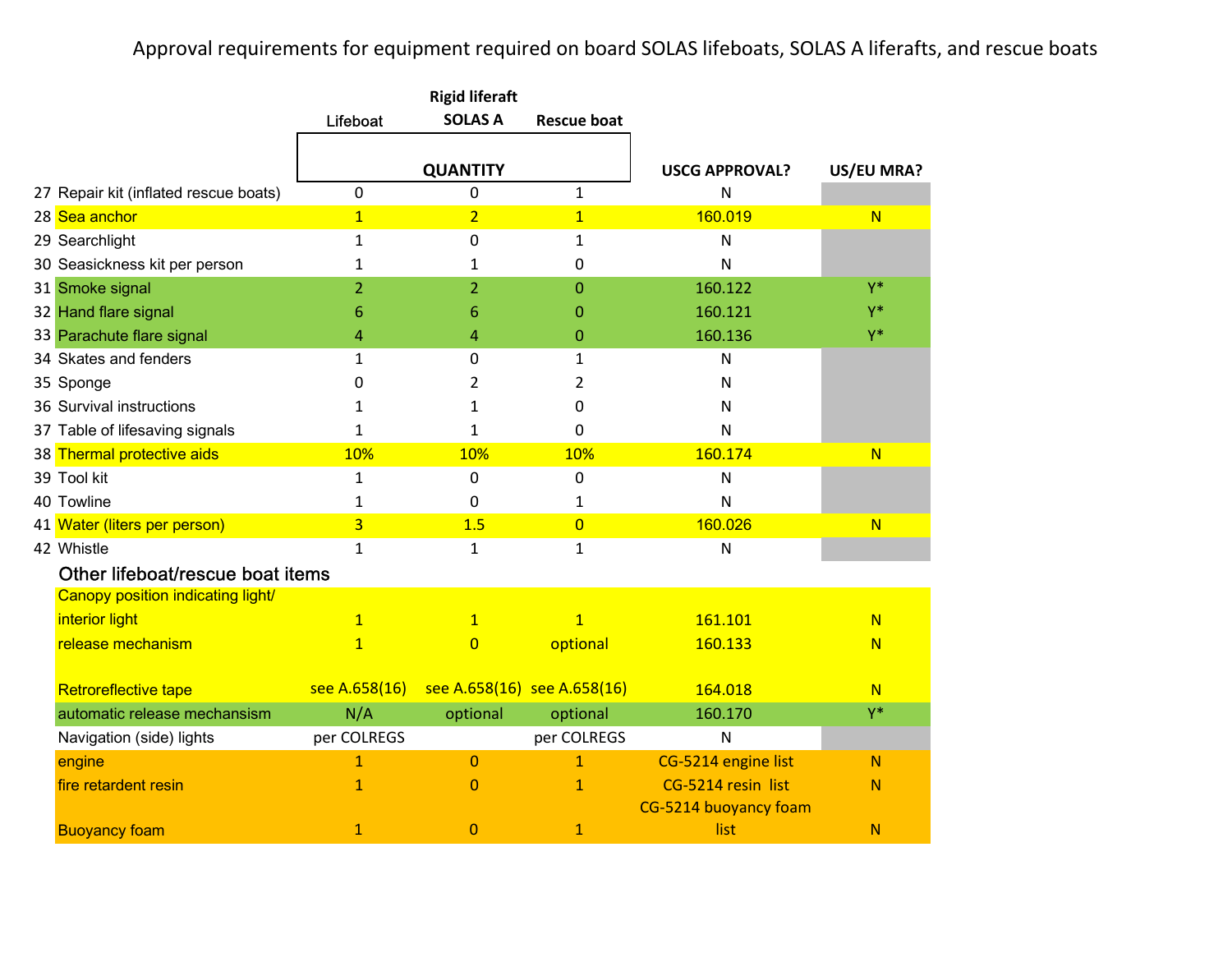## Approval requirements for equipment required on board SOLAS lifeboats, SOLAS A liferafts, and rescue boats

|                                       | Lifeboat       | <b>SOLAS A</b>              | <b>Rescue boat</b> |                       |              |
|---------------------------------------|----------------|-----------------------------|--------------------|-----------------------|--------------|
|                                       |                |                             |                    |                       |              |
|                                       |                | <b>QUANTITY</b>             |                    | <b>USCG APPROVAL?</b> | US/EU MRA?   |
| 27 Repair kit (inflated rescue boats) | 0              | 0                           | $\mathbf{1}$       | N                     |              |
| 28 Sea anchor                         | $\overline{1}$ | $\overline{2}$              | $\overline{1}$     | 160.019               | N            |
| 29 Searchlight                        | $\mathbf{1}$   | $\Omega$                    | $\mathbf{1}$       | $\mathsf{N}$          |              |
| 30 Seasickness kit per person         | 1              | 1                           | 0                  | N                     |              |
| 31 Smoke signal                       | $\overline{2}$ | $\overline{2}$              | $\overline{0}$     | 160.122               | $Y^*$        |
| 32 Hand flare signal                  | 6              | 6                           | 0                  | 160.121               | $Y^*$        |
| 33 Parachute flare signal             | 4              | 4                           | 0                  | 160.136               | $Y^*$        |
| 34 Skates and fenders                 | $\mathbf{1}$   | $\mathbf 0$                 | $\mathbf{1}$       | N                     |              |
| 35 Sponge                             | 0              | 2                           | 2                  | N                     |              |
| 36 Survival instructions              | 1              | 1                           | 0                  | N                     |              |
| 37 Table of lifesaving signals        | $\mathbf{1}$   | 1                           | 0                  | $\mathsf{N}$          |              |
| 38 Thermal protective aids            | 10%            | 10%                         | 10%                | 160.174               | N            |
| 39 Tool kit                           | 1              | $\mathbf 0$                 | 0                  | ${\sf N}$             |              |
| 40 Towline                            | $\mathbf{1}$   | 0                           | 1                  | $\mathsf{N}$          |              |
| 41 Water (liters per person)          | $\overline{3}$ | 1.5                         | $\overline{0}$     | 160.026               | N            |
| 42 Whistle                            | $\mathbf{1}$   | 1                           | $\mathbf{1}$       | ${\sf N}$             |              |
| Other lifeboat/rescue boat items      |                |                             |                    |                       |              |
| Canopy position indicating light/     |                |                             |                    |                       |              |
| interior light                        | $\mathbf{1}$   | $\mathbf{1}$                | $\overline{1}$     | 161.101               | N            |
| release mechanism                     | $\mathbf{1}$   | $\overline{0}$              | optional           | 160.133               | N            |
|                                       |                |                             |                    |                       |              |
| Retroreflective tape                  | see A.658(16)  | see A.658(16) see A.658(16) |                    | 164.018               | N            |
| automatic release mechansism          | N/A            | optional                    | optional           | 160.170               | Y*           |
| Navigation (side) lights              | per COLREGS    |                             | per COLREGS        | ${\sf N}$             |              |
| engine                                | $\mathbf{1}$   | $\overline{0}$              | $\mathbf{1}$       | CG-5214 engine list   | $\mathbb N$  |
| fire retardent resin                  | $\mathbf{1}$   | $\overline{0}$              | $\mathbf{1}$       | CG-5214 resin list    | $\mathbb N$  |
|                                       |                |                             |                    | CG-5214 buoyancy foam |              |
| <b>Buoyancy foam</b>                  | $\mathbf{1}$   | $\overline{0}$              | $\mathbf{1}$       | list                  | $\mathsf{N}$ |